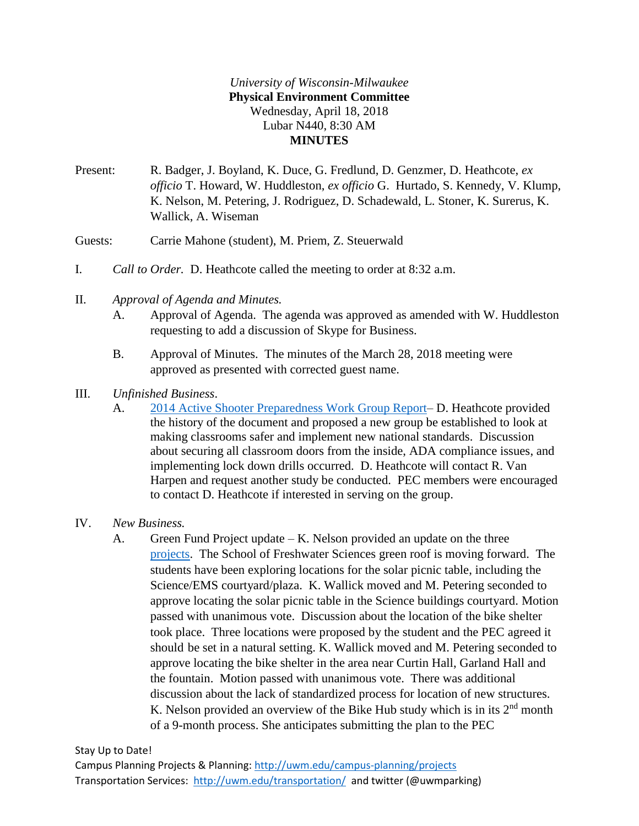## *University of Wisconsin-Milwaukee* **Physical Environment Committee** Wednesday, April 18, 2018 Lubar N440, 8:30 AM **MINUTES**

- Present: R. Badger, J. Boyland, K. Duce, G. Fredlund, D. Genzmer, D. Heathcote, *ex officio* T. Howard, W. Huddleston, *ex officio* G. Hurtado, S. Kennedy, V. Klump, K. Nelson, M. Petering, J. Rodriguez, D. Schadewald, L. Stoner, K. Surerus, K. Wallick, A. Wiseman
- Guests: Carrie Mahone (student), M. Priem, Z. Steuerwald
- I. *Call to Order.* D. Heathcote called the meeting to order at 8:32 a.m.
- II. *Approval of Agenda and Minutes.*
	- A. Approval of Agenda. The agenda was approved as amended with W. Huddleston requesting to add a discussion of Skype for Business.
	- B. Approval of Minutes. The minutes of the March 28, 2018 meeting were approved as presented with corrected guest name.
- III. *Unfinished Business*.
	- A. [2014 Active Shooter Preparedness Work Group Report–](http://uwm.edu/secu/wp-content/uploads/sites/122/2018/04/Active-Shooter-Preparedness-Final-Report.pdf) D. Heathcote provided the history of the document and proposed a new group be established to look at making classrooms safer and implement new national standards. Discussion about securing all classroom doors from the inside, ADA compliance issues, and implementing lock down drills occurred. D. Heathcote will contact R. Van Harpen and request another study be conducted. PEC members were encouraged to contact D. Heathcote if interested in serving on the group.
- IV. *New Business.*
	- A. Green Fund Project update K. Nelson provided an update on the three [projects.](http://uwm.edu/secu/wp-content/uploads/sites/122/2018/04/BikeShelterLocations.pdf) The School of Freshwater Sciences green roof is moving forward. The students have been exploring locations for the solar picnic table, including the Science/EMS courtyard/plaza. K. Wallick moved and M. Petering seconded to approve locating the solar picnic table in the Science buildings courtyard. Motion passed with unanimous vote. Discussion about the location of the bike shelter took place. Three locations were proposed by the student and the PEC agreed it should be set in a natural setting. K. Wallick moved and M. Petering seconded to approve locating the bike shelter in the area near Curtin Hall, Garland Hall and the fountain. Motion passed with unanimous vote. There was additional discussion about the lack of standardized process for location of new structures. K. Nelson provided an overview of the Bike Hub study which is in its  $2<sup>nd</sup>$  month of a 9-month process. She anticipates submitting the plan to the PEC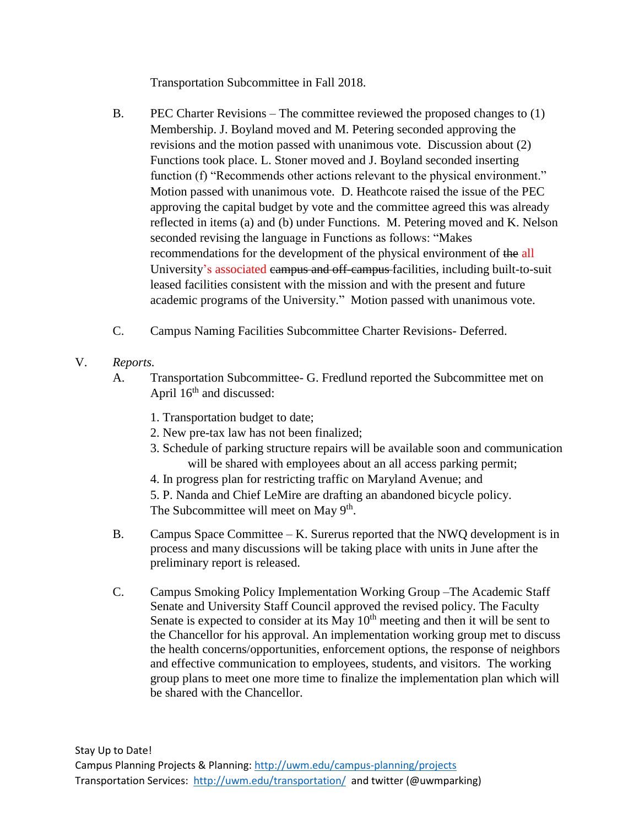Transportation Subcommittee in Fall 2018.

- B. PEC Charter Revisions The committee reviewed the proposed changes to (1) Membership. J. Boyland moved and M. Petering seconded approving the revisions and the motion passed with unanimous vote. Discussion about (2) Functions took place. L. Stoner moved and J. Boyland seconded inserting function (f) "Recommends other actions relevant to the physical environment." Motion passed with unanimous vote. D. Heathcote raised the issue of the PEC approving the capital budget by vote and the committee agreed this was already reflected in items (a) and (b) under Functions. M. Petering moved and K. Nelson seconded revising the language in Functions as follows: "Makes recommendations for the development of the physical environment of the all University's associated campus and off-campus facilities, including built-to-suit leased facilities consistent with the mission and with the present and future academic programs of the University." Motion passed with unanimous vote.
- C. Campus Naming Facilities Subcommittee Charter Revisions- Deferred.
- V. *Reports.*
	- A. Transportation Subcommittee- G. Fredlund reported the Subcommittee met on April  $16<sup>th</sup>$  and discussed:
		- 1. Transportation budget to date;
		- 2. New pre-tax law has not been finalized;
		- 3. Schedule of parking structure repairs will be available soon and communication will be shared with employees about an all access parking permit;
		- 4. In progress plan for restricting traffic on Maryland Avenue; and
		- 5. P. Nanda and Chief LeMire are drafting an abandoned bicycle policy. The Subcommittee will meet on May 9<sup>th</sup>.
	- B. Campus Space Committee K. Surerus reported that the NWQ development is in process and many discussions will be taking place with units in June after the preliminary report is released.
	- C. Campus Smoking Policy Implementation Working Group –The Academic Staff Senate and University Staff Council approved the revised policy. The Faculty Senate is expected to consider at its May  $10<sup>th</sup>$  meeting and then it will be sent to the Chancellor for his approval. An implementation working group met to discuss the health concerns/opportunities, enforcement options, the response of neighbors and effective communication to employees, students, and visitors. The working group plans to meet one more time to finalize the implementation plan which will be shared with the Chancellor.